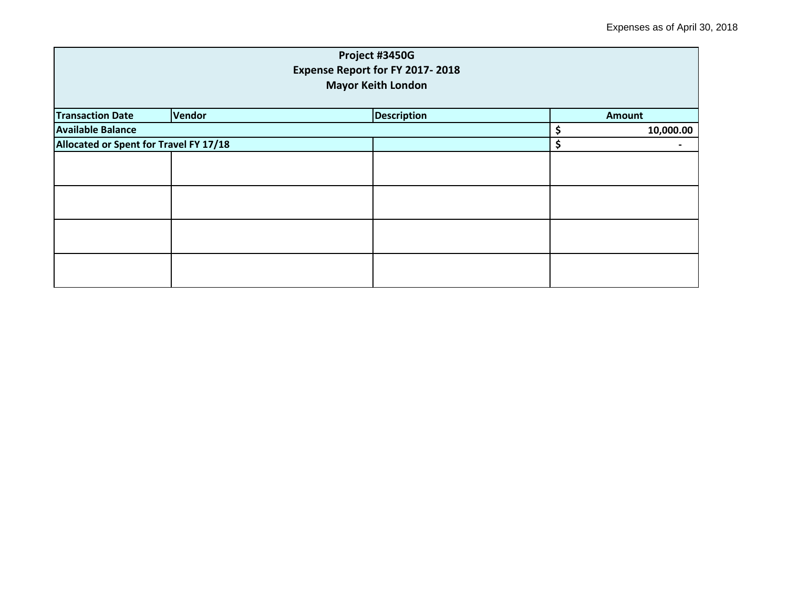| Project #3450G<br>Expense Report for FY 2017-2018<br><b>Mayor Keith London</b> |        |                    |    |               |  |
|--------------------------------------------------------------------------------|--------|--------------------|----|---------------|--|
| <b>Transaction Date</b>                                                        | Vendor | <b>Description</b> |    | <b>Amount</b> |  |
| <b>Available Balance</b>                                                       |        |                    | \$ | 10,000.00     |  |
| Allocated or Spent for Travel FY 17/18                                         |        |                    | \$ |               |  |
|                                                                                |        |                    |    |               |  |
|                                                                                |        |                    |    |               |  |
|                                                                                |        |                    |    |               |  |
|                                                                                |        |                    |    |               |  |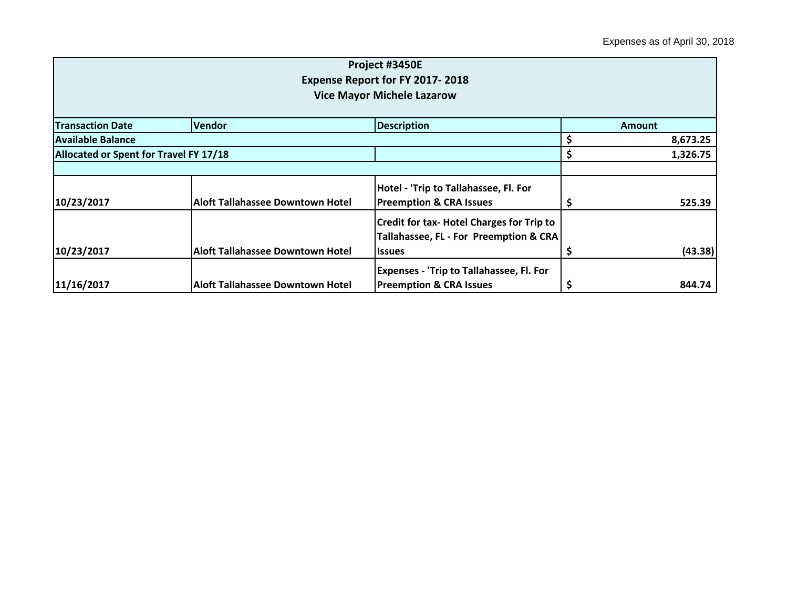|                                        |                                         | Project #3450E                                   |          |          |
|----------------------------------------|-----------------------------------------|--------------------------------------------------|----------|----------|
|                                        |                                         | <b>Expense Report for FY 2017-2018</b>           |          |          |
|                                        |                                         | <b>Vice Mayor Michele Lazarow</b>                |          |          |
| <b>Transaction Date</b>                | <b>Vendor</b>                           | <b>Description</b>                               |          | Amount   |
| Available Balance                      |                                         |                                                  |          | 8,673.25 |
| Allocated or Spent for Travel FY 17/18 |                                         | \$                                               | 1,326.75 |          |
|                                        |                                         |                                                  |          |          |
|                                        |                                         | Hotel - 'Trip to Tallahassee, Fl. For            |          |          |
| 10/23/2017                             | <b>Aloft Tallahassee Downtown Hotel</b> | <b>Preemption &amp; CRA Issues</b>               |          | 525.39   |
|                                        |                                         | <b>Credit for tax- Hotel Charges for Trip to</b> |          |          |
|                                        |                                         | Tallahassee, FL - For Preemption & CRA           |          |          |
| 10/23/2017                             | <b>Aloft Tallahassee Downtown Hotel</b> | <b>Issues</b>                                    | \$.      | (43.38)  |
|                                        |                                         | <b>Expenses - 'Trip to Tallahassee, Fl. For</b>  |          |          |
| 11/16/2017                             | <b>Aloft Tallahassee Downtown Hotel</b> | <b>Preemption &amp; CRA Issues</b>               |          | 844.74   |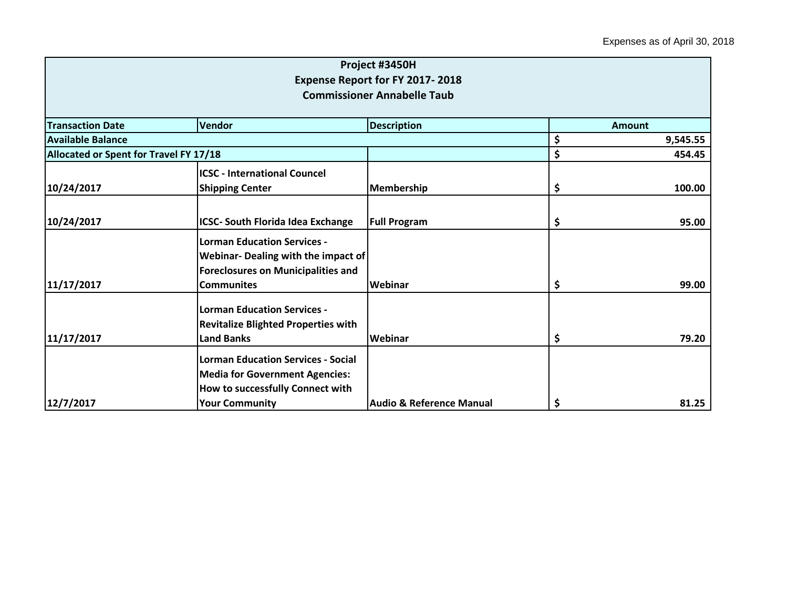|                                        |                                                                                    | Project #3450H                      |               |          |  |
|----------------------------------------|------------------------------------------------------------------------------------|-------------------------------------|---------------|----------|--|
|                                        |                                                                                    | Expense Report for FY 2017-2018     |               |          |  |
|                                        |                                                                                    | <b>Commissioner Annabelle Taub</b>  |               |          |  |
| <b>Transaction Date</b>                | Vendor                                                                             | <b>Description</b>                  | <b>Amount</b> |          |  |
| <b>Available Balance</b>               |                                                                                    |                                     | \$            | 9,545.55 |  |
| Allocated or Spent for Travel FY 17/18 |                                                                                    |                                     | \$            | 454.45   |  |
|                                        | <b>ICSC - International Councel</b>                                                |                                     |               |          |  |
| 10/24/2017                             | <b>Shipping Center</b>                                                             | Membership                          | \$            | 100.00   |  |
|                                        |                                                                                    |                                     |               |          |  |
| 10/24/2017                             | <b>ICSC- South Florida Idea Exchange</b>                                           | <b>Full Program</b>                 | \$            | 95.00    |  |
|                                        | <b>Lorman Education Services -</b><br>Webinar- Dealing with the impact of          |                                     |               |          |  |
| 11/17/2017                             | <b>Foreclosures on Municipalities and</b><br><b>Communites</b>                     | Webinar                             | \$            | 99.00    |  |
|                                        | <b>Lorman Education Services -</b><br><b>Revitalize Blighted Properties with</b>   |                                     |               |          |  |
| 11/17/2017                             | <b>Land Banks</b>                                                                  | Webinar                             | \$            | 79.20    |  |
|                                        | <b>Lorman Education Services - Social</b><br><b>Media for Government Agencies:</b> |                                     |               |          |  |
| 12/7/2017                              | How to successfully Connect with<br><b>Your Community</b>                          | <b>Audio &amp; Reference Manual</b> | \$            | 81.25    |  |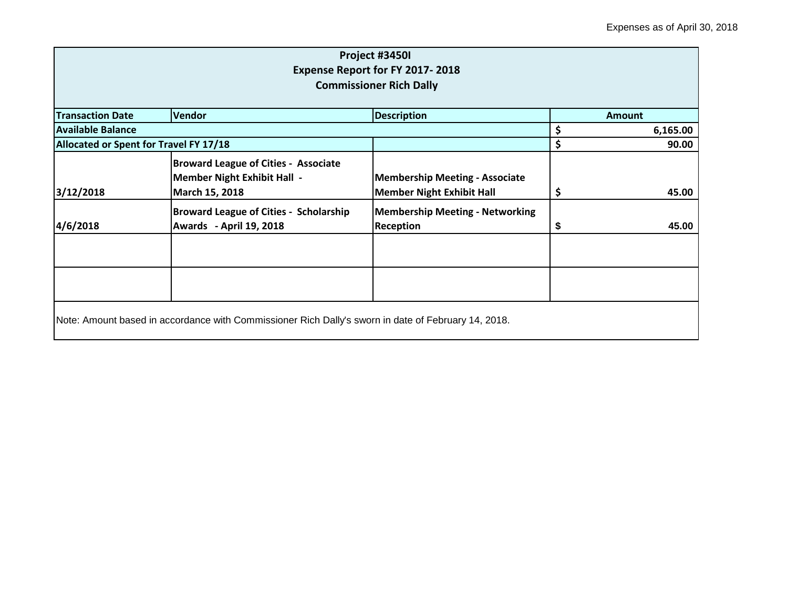| Project #3450I<br>Expense Report for FY 2017-2018<br><b>Commissioner Rich Dally</b> |                                                                                                     |                                                                           |               |          |
|-------------------------------------------------------------------------------------|-----------------------------------------------------------------------------------------------------|---------------------------------------------------------------------------|---------------|----------|
| <b>Transaction Date</b>                                                             | Vendor                                                                                              | <b>Description</b>                                                        | <b>Amount</b> |          |
| <b>Available Balance</b>                                                            |                                                                                                     |                                                                           | \$            | 6,165.00 |
|                                                                                     | Allocated or Spent for Travel FY 17/18                                                              |                                                                           |               | 90.00    |
| 3/12/2018                                                                           | <b>Broward League of Cities - Associate</b><br><b>Member Night Exhibit Hall -</b><br>March 15, 2018 | <b>Membership Meeting - Associate</b><br><b>Member Night Exhibit Hall</b> | \$            | 45.00    |
| 4/6/2018                                                                            | <b>Broward League of Cities - Scholarship</b><br>Awards - April 19, 2018                            | <b>Membership Meeting - Networking</b><br><b>Reception</b>                | \$            | 45.00    |
|                                                                                     | Note: Amount based in accordance with Commissioner Rich Dally's sworn in date of February 14, 2018. |                                                                           |               |          |